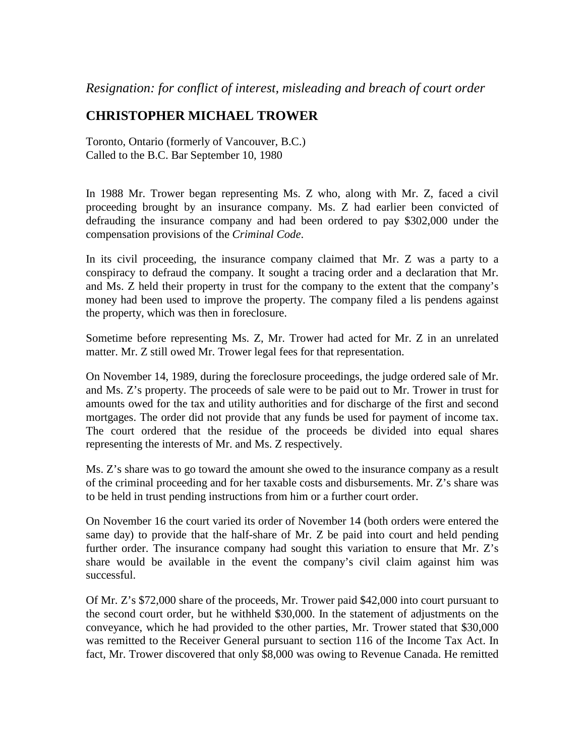*Resignation: for conflict of interest, misleading and breach of court order*

## **CHRISTOPHER MICHAEL TROWER**

Toronto, Ontario (formerly of Vancouver, B.C.) Called to the B.C. Bar September 10, 1980

In 1988 Mr. Trower began representing Ms. Z who, along with Mr. Z, faced a civil proceeding brought by an insurance company. Ms. Z had earlier been convicted of defrauding the insurance company and had been ordered to pay \$302,000 under the compensation provisions of the *Criminal Code*.

In its civil proceeding, the insurance company claimed that Mr. Z was a party to a conspiracy to defraud the company. It sought a tracing order and a declaration that Mr. and Ms. Z held their property in trust for the company to the extent that the company's money had been used to improve the property. The company filed a lis pendens against the property, which was then in foreclosure.

Sometime before representing Ms. Z, Mr. Trower had acted for Mr. Z in an unrelated matter. Mr. Z still owed Mr. Trower legal fees for that representation.

On November 14, 1989, during the foreclosure proceedings, the judge ordered sale of Mr. and Ms. Z's property. The proceeds of sale were to be paid out to Mr. Trower in trust for amounts owed for the tax and utility authorities and for discharge of the first and second mortgages. The order did not provide that any funds be used for payment of income tax. The court ordered that the residue of the proceeds be divided into equal shares representing the interests of Mr. and Ms. Z respectively.

Ms. Z's share was to go toward the amount she owed to the insurance company as a result of the criminal proceeding and for her taxable costs and disbursements. Mr. Z's share was to be held in trust pending instructions from him or a further court order.

On November 16 the court varied its order of November 14 (both orders were entered the same day) to provide that the half-share of Mr. Z be paid into court and held pending further order. The insurance company had sought this variation to ensure that Mr. Z's share would be available in the event the company's civil claim against him was successful.

Of Mr. Z's \$72,000 share of the proceeds, Mr. Trower paid \$42,000 into court pursuant to the second court order, but he withheld \$30,000. In the statement of adjustments on the conveyance, which he had provided to the other parties, Mr. Trower stated that \$30,000 was remitted to the Receiver General pursuant to section 116 of the Income Tax Act. In fact, Mr. Trower discovered that only \$8,000 was owing to Revenue Canada. He remitted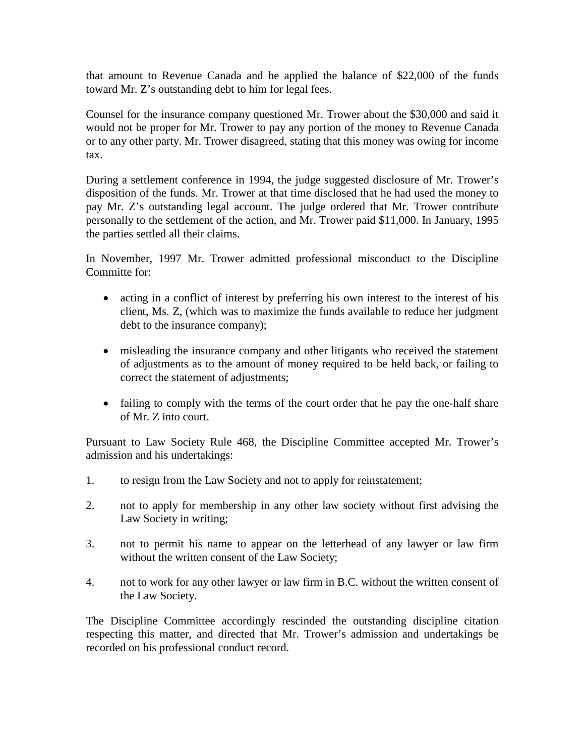that amount to Revenue Canada and he applied the balance of \$22,000 of the funds toward Mr. Z's outstanding debt to him for legal fees.

Counsel for the insurance company questioned Mr. Trower about the \$30,000 and said it would not be proper for Mr. Trower to pay any portion of the money to Revenue Canada or to any other party. Mr. Trower disagreed, stating that this money was owing for income tax.

During a settlement conference in 1994, the judge suggested disclosure of Mr. Trower's disposition of the funds. Mr. Trower at that time disclosed that he had used the money to pay Mr. Z's outstanding legal account. The judge ordered that Mr. Trower contribute personally to the settlement of the action, and Mr. Trower paid \$11,000. In January, 1995 the parties settled all their claims.

In November, 1997 Mr. Trower admitted professional misconduct to the Discipline Committe for:

- acting in a conflict of interest by preferring his own interest to the interest of his client, Ms. Z, (which was to maximize the funds available to reduce her judgment debt to the insurance company);
- misleading the insurance company and other litigants who received the statement of adjustments as to the amount of money required to be held back, or failing to correct the statement of adjustments;
- failing to comply with the terms of the court order that he pay the one-half share of Mr. Z into court.

Pursuant to Law Society Rule 468, the Discipline Committee accepted Mr. Trower's admission and his undertakings:

- 1. to resign from the Law Society and not to apply for reinstatement;
- 2. not to apply for membership in any other law society without first advising the Law Society in writing;
- 3. not to permit his name to appear on the letterhead of any lawyer or law firm without the written consent of the Law Society;
- 4. not to work for any other lawyer or law firm in B.C. without the written consent of the Law Society.

The Discipline Committee accordingly rescinded the outstanding discipline citation respecting this matter, and directed that Mr. Trower's admission and undertakings be recorded on his professional conduct record.